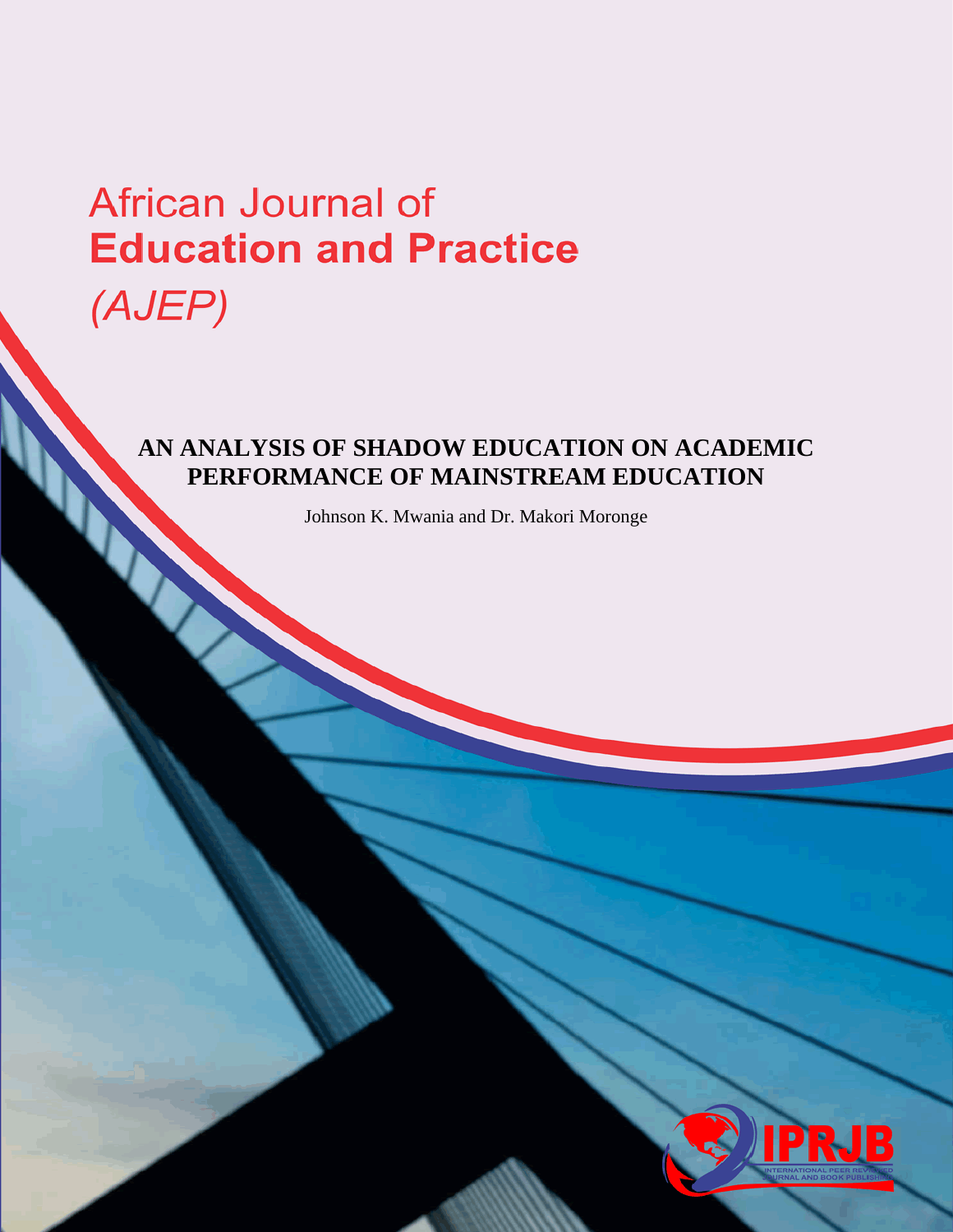# African Journal of **Education and Practice** (AJEP)

# **AN ANALYSIS OF SHADOW EDUCATION ON ACADEMIC PERFORMANCE OF MAINSTREAM EDUCATION**

Johnson K. Mwania and Dr. Makori Moronge

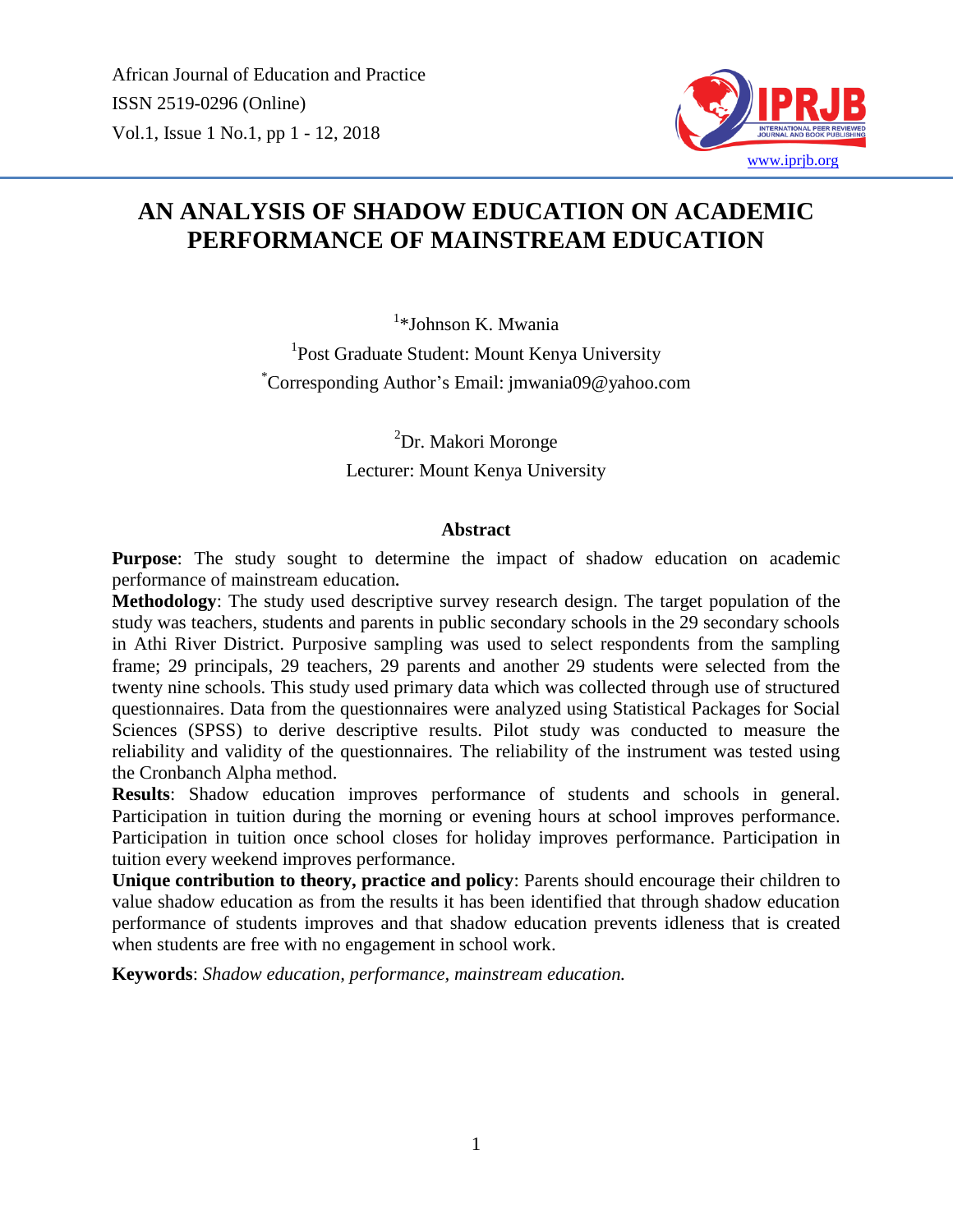

# **AN ANALYSIS OF SHADOW EDUCATION ON ACADEMIC PERFORMANCE OF MAINSTREAM EDUCATION**

<sup>1</sup>\*Johnson K. Mwania

<sup>1</sup>Post Graduate Student: Mount Kenya University \*Corresponding Author's Email: jmwania09@yahoo.com

> <sup>2</sup>Dr. Makori Moronge Lecturer: Mount Kenya University

#### **Abstract**

**Purpose**: The study sought to determine the impact of shadow education on academic performance of mainstream education**.**

**Methodology**: The study used descriptive survey research design. The target population of the study was teachers, students and parents in public secondary schools in the 29 secondary schools in Athi River District. Purposive sampling was used to select respondents from the sampling frame; 29 principals, 29 teachers, 29 parents and another 29 students were selected from the twenty nine schools. This study used primary data which was collected through use of structured questionnaires. Data from the questionnaires were analyzed using Statistical Packages for Social Sciences (SPSS) to derive descriptive results. Pilot study was conducted to measure the reliability and validity of the questionnaires. The reliability of the instrument was tested using the Cronbanch Alpha method.

**Results**: Shadow education improves performance of students and schools in general. Participation in tuition during the morning or evening hours at school improves performance. Participation in tuition once school closes for holiday improves performance. Participation in tuition every weekend improves performance.

**Unique contribution to theory, practice and policy**: Parents should encourage their children to value shadow education as from the results it has been identified that through shadow education performance of students improves and that shadow education prevents idleness that is created when students are free with no engagement in school work.

**Keywords**: *Shadow education, performance, mainstream education.*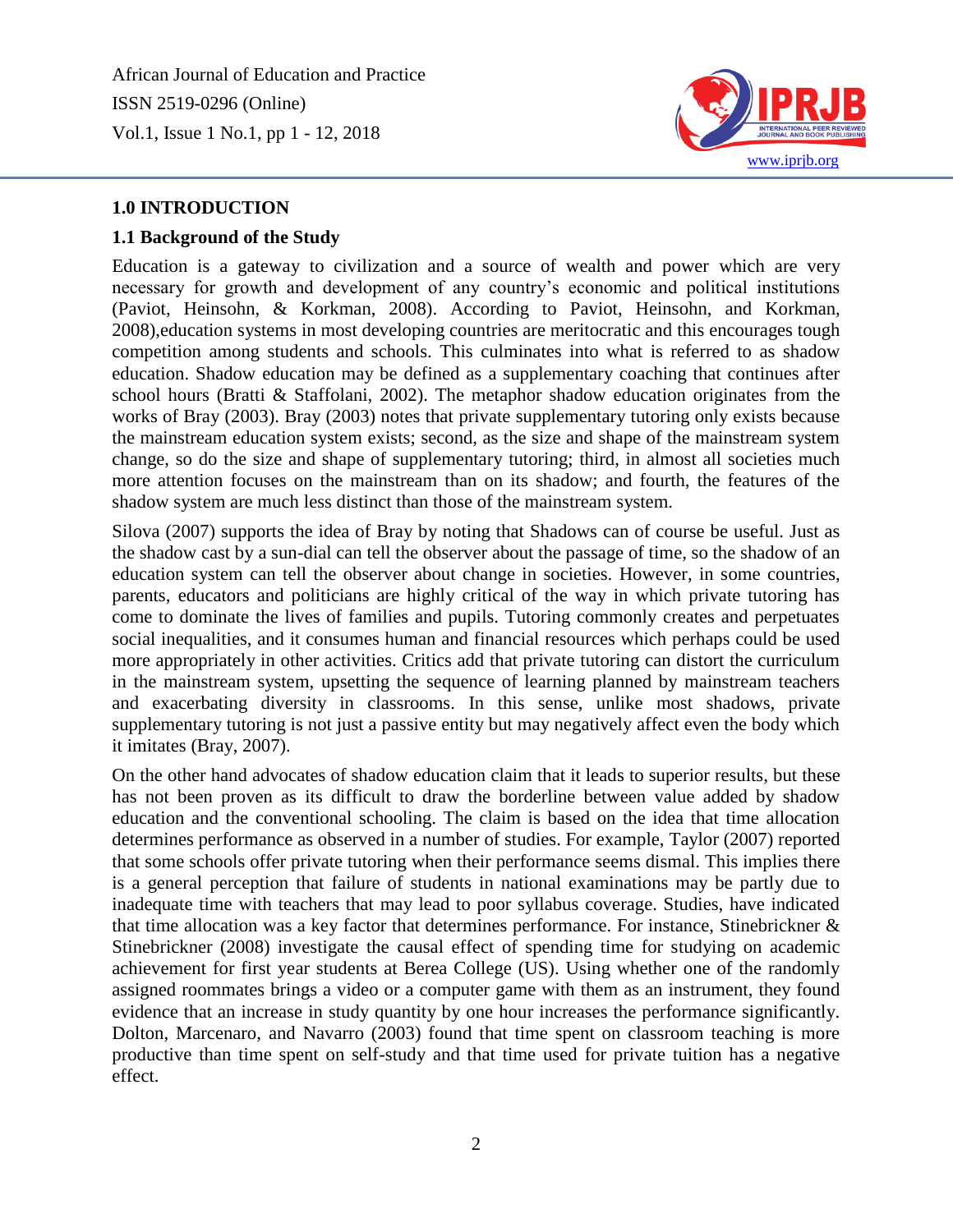

#### **1.0 INTRODUCTION**

#### **1.1 Background of the Study**

Education is a gateway to civilization and a source of wealth and power which are very necessary for growth and development of any country's economic and political institutions (Paviot, Heinsohn, & Korkman, 2008). According to Paviot, Heinsohn, and Korkman, 2008),education systems in most developing countries are meritocratic and this encourages tough competition among students and schools. This culminates into what is referred to as shadow education. Shadow education may be defined as a supplementary coaching that continues after school hours (Bratti & Staffolani, 2002). The metaphor shadow education originates from the works of Bray (2003). Bray (2003) notes that private supplementary tutoring only exists because the mainstream education system exists; second, as the size and shape of the mainstream system change, so do the size and shape of supplementary tutoring; third, in almost all societies much more attention focuses on the mainstream than on its shadow; and fourth, the features of the shadow system are much less distinct than those of the mainstream system.

Silova (2007) supports the idea of Bray by noting that Shadows can of course be useful. Just as the shadow cast by a sun-dial can tell the observer about the passage of time, so the shadow of an education system can tell the observer about change in societies. However, in some countries, parents, educators and politicians are highly critical of the way in which private tutoring has come to dominate the lives of families and pupils. Tutoring commonly creates and perpetuates social inequalities, and it consumes human and financial resources which perhaps could be used more appropriately in other activities. Critics add that private tutoring can distort the curriculum in the mainstream system, upsetting the sequence of learning planned by mainstream teachers and exacerbating diversity in classrooms. In this sense, unlike most shadows, private supplementary tutoring is not just a passive entity but may negatively affect even the body which it imitates (Bray, 2007).

On the other hand advocates of shadow education claim that it leads to superior results, but these has not been proven as its difficult to draw the borderline between value added by shadow education and the conventional schooling. The claim is based on the idea that time allocation determines performance as observed in a number of studies. For example, Taylor (2007) reported that some schools offer private tutoring when their performance seems dismal. This implies there is a general perception that failure of students in national examinations may be partly due to inadequate time with teachers that may lead to poor syllabus coverage. Studies, have indicated that time allocation was a key factor that determines performance. For instance, Stinebrickner & Stinebrickner (2008) investigate the causal effect of spending time for studying on academic achievement for first year students at Berea College (US). Using whether one of the randomly assigned roommates brings a video or a computer game with them as an instrument, they found evidence that an increase in study quantity by one hour increases the performance significantly. Dolton, Marcenaro, and Navarro (2003) found that time spent on classroom teaching is more productive than time spent on self-study and that time used for private tuition has a negative effect.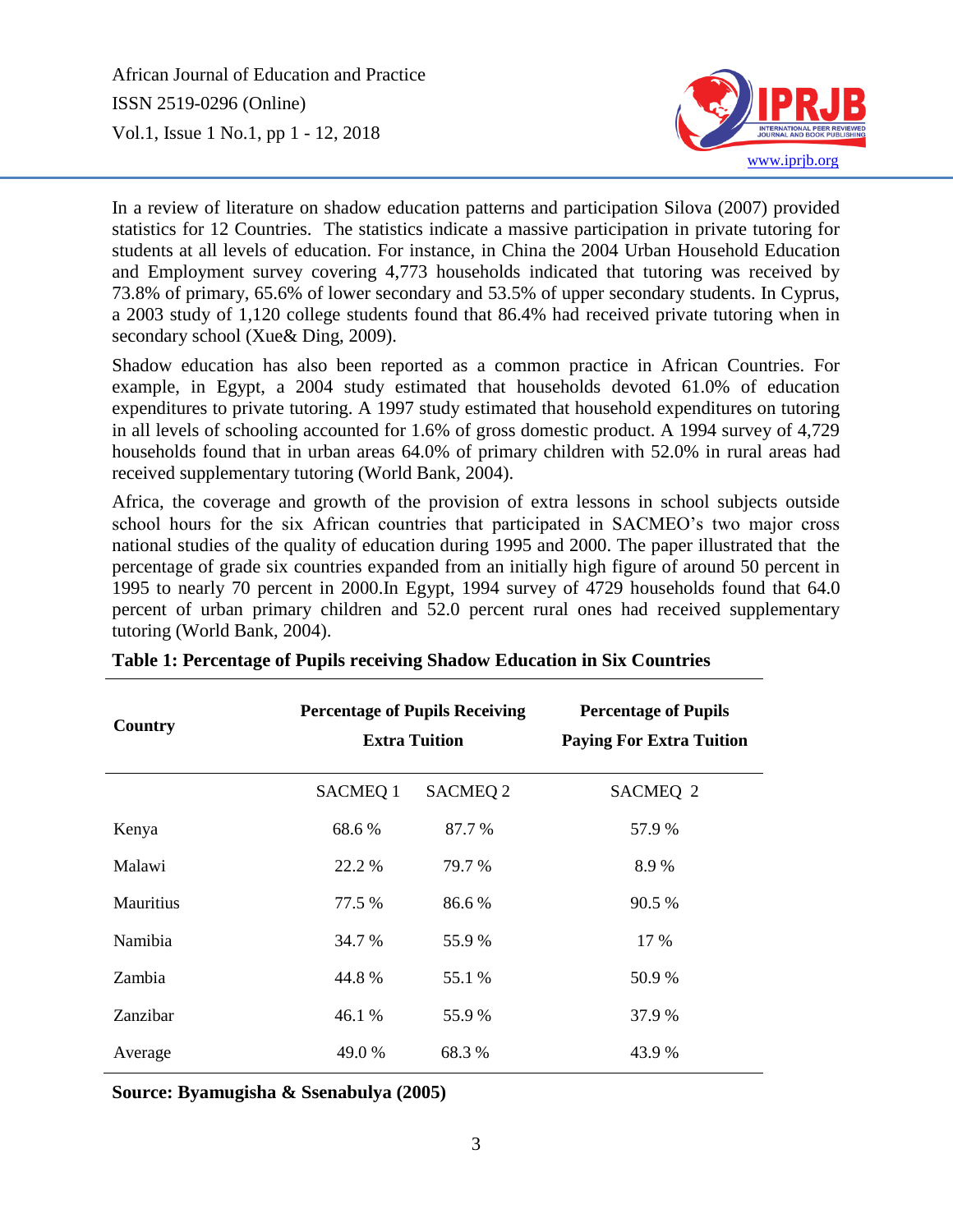

In a review of literature on shadow education patterns and participation Silova (2007) provided statistics for 12 Countries. The statistics indicate a massive participation in private tutoring for students at all levels of education. For instance, in China the 2004 Urban Household Education and Employment survey covering 4,773 households indicated that tutoring was received by 73.8% of primary, 65.6% of lower secondary and 53.5% of upper secondary students. In Cyprus, a 2003 study of 1,120 college students found that 86.4% had received private tutoring when in secondary school (Xue& Ding, 2009).

Shadow education has also been reported as a common practice in African Countries. For example, in Egypt, a 2004 study estimated that households devoted 61.0% of education expenditures to private tutoring. A 1997 study estimated that household expenditures on tutoring in all levels of schooling accounted for 1.6% of gross domestic product. A 1994 survey of 4,729 households found that in urban areas 64.0% of primary children with 52.0% in rural areas had received supplementary tutoring (World Bank, 2004).

Africa, the coverage and growth of the provision of extra lessons in school subjects outside school hours for the six African countries that participated in SACMEO's two major cross national studies of the quality of education during 1995 and 2000. The paper illustrated that the percentage of grade six countries expanded from an initially high figure of around 50 percent in 1995 to nearly 70 percent in 2000.In Egypt, 1994 survey of 4729 households found that 64.0 percent of urban primary children and 52.0 percent rural ones had received supplementary tutoring (World Bank, 2004).

| Country        |                | <b>Percentage of Pupils Receiving</b><br><b>Extra Tuition</b> | <b>Percentage of Pupils</b><br><b>Paying For Extra Tuition</b> |  |  |  |
|----------------|----------------|---------------------------------------------------------------|----------------------------------------------------------------|--|--|--|
|                | <b>SACMEQ1</b> | <b>SACMEQ 2</b>                                               | SACMEQ 2                                                       |  |  |  |
| Kenya          | 68.6 %         | 87.7 %                                                        | 57.9 %                                                         |  |  |  |
| Malawi         | 22.2 %         | 79.7 %                                                        | 8.9%                                                           |  |  |  |
| Mauritius      | 77.5 %         | 86.6%                                                         | 90.5 %                                                         |  |  |  |
| <b>Namibia</b> | 34.7 %         | 55.9 %                                                        | 17 %                                                           |  |  |  |
| Zambia         | 44.8%          | 55.1 %                                                        | 50.9 %                                                         |  |  |  |
| Zanzibar       | 46.1 %         | 55.9%                                                         | 37.9 %                                                         |  |  |  |
| Average        | 49.0 %         | 68.3 %                                                        | 43.9 %                                                         |  |  |  |

|  | Table 1: Percentage of Pupils receiving Shadow Education in Six Countries |  |  |  |
|--|---------------------------------------------------------------------------|--|--|--|
|  |                                                                           |  |  |  |

**Source: Byamugisha & Ssenabulya (2005)**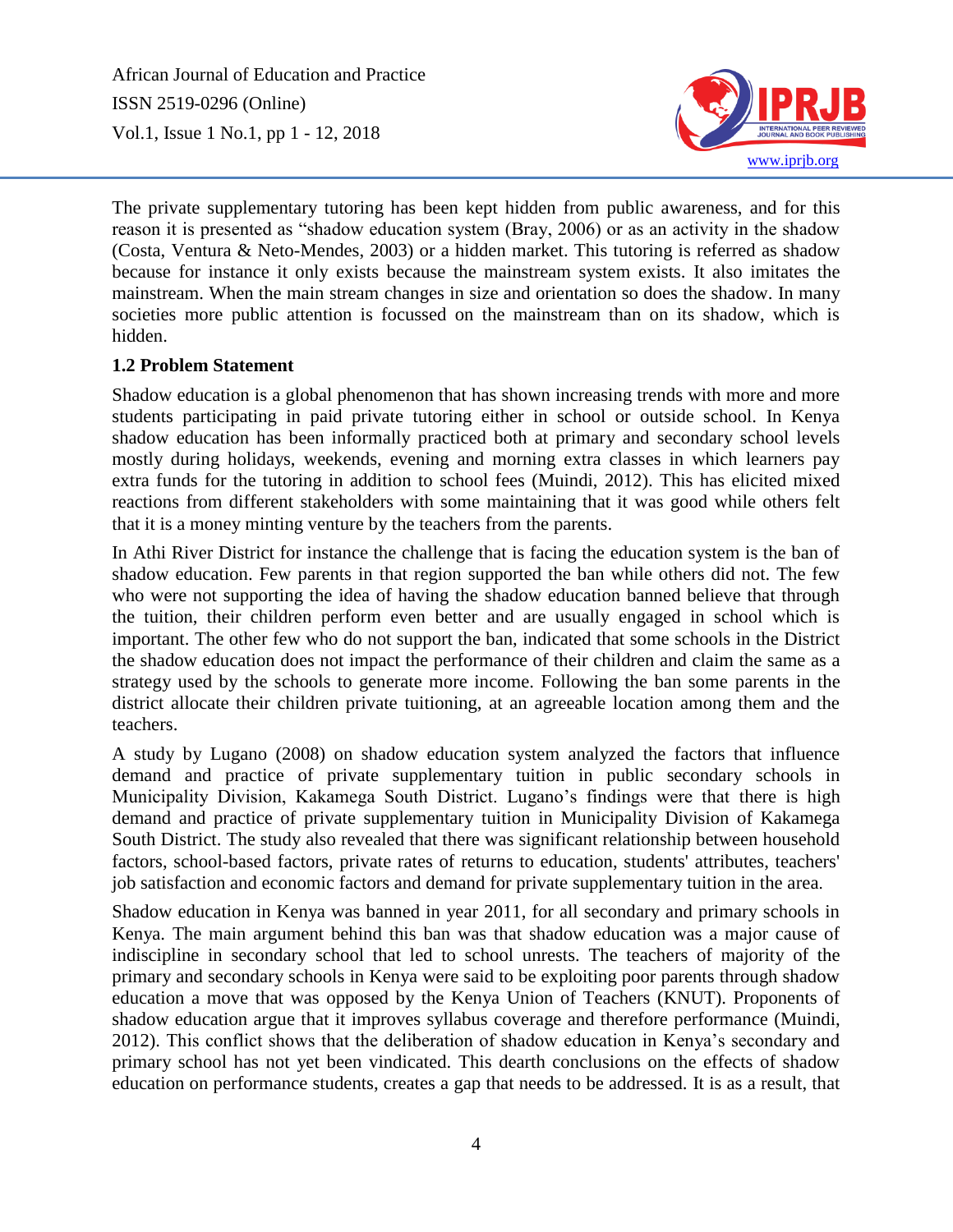

The private supplementary tutoring has been kept hidden from public awareness, and for this reason it is presented as "shadow education system (Bray, 2006) or as an activity in the shadow (Costa, Ventura & Neto-Mendes, 2003) or a hidden market. This tutoring is referred as shadow because for instance it only exists because the mainstream system exists. It also imitates the mainstream. When the main stream changes in size and orientation so does the shadow. In many societies more public attention is focussed on the mainstream than on its shadow, which is hidden.

#### **1.2 Problem Statement**

Shadow education is a global phenomenon that has shown increasing trends with more and more students participating in paid private tutoring either in school or outside school. In Kenya shadow education has been informally practiced both at primary and secondary school levels mostly during holidays, weekends, evening and morning extra classes in which learners pay extra funds for the tutoring in addition to school fees (Muindi, 2012). This has elicited mixed reactions from different stakeholders with some maintaining that it was good while others felt that it is a money minting venture by the teachers from the parents.

In Athi River District for instance the challenge that is facing the education system is the ban of shadow education. Few parents in that region supported the ban while others did not. The few who were not supporting the idea of having the shadow education banned believe that through the tuition, their children perform even better and are usually engaged in school which is important. The other few who do not support the ban, indicated that some schools in the District the shadow education does not impact the performance of their children and claim the same as a strategy used by the schools to generate more income. Following the ban some parents in the district allocate their children private tuitioning, at an agreeable location among them and the teachers.

A study by Lugano (2008) on shadow education system analyzed the factors that influence demand and practice of private supplementary tuition in public secondary schools in Municipality Division, Kakamega South District. Lugano's findings were that there is high demand and practice of private supplementary tuition in Municipality Division of Kakamega South District. The study also revealed that there was significant relationship between household factors, school-based factors, private rates of returns to education, students' attributes, teachers' job satisfaction and economic factors and demand for private supplementary tuition in the area.

Shadow education in Kenya was banned in year 2011, for all secondary and primary schools in Kenya. The main argument behind this ban was that shadow education was a major cause of indiscipline in secondary school that led to school unrests. The teachers of majority of the primary and secondary schools in Kenya were said to be exploiting poor parents through shadow education a move that was opposed by the Kenya Union of Teachers (KNUT). Proponents of shadow education argue that it improves syllabus coverage and therefore performance (Muindi, 2012). This conflict shows that the deliberation of shadow education in Kenya's secondary and primary school has not yet been vindicated. This dearth conclusions on the effects of shadow education on performance students, creates a gap that needs to be addressed. It is as a result, that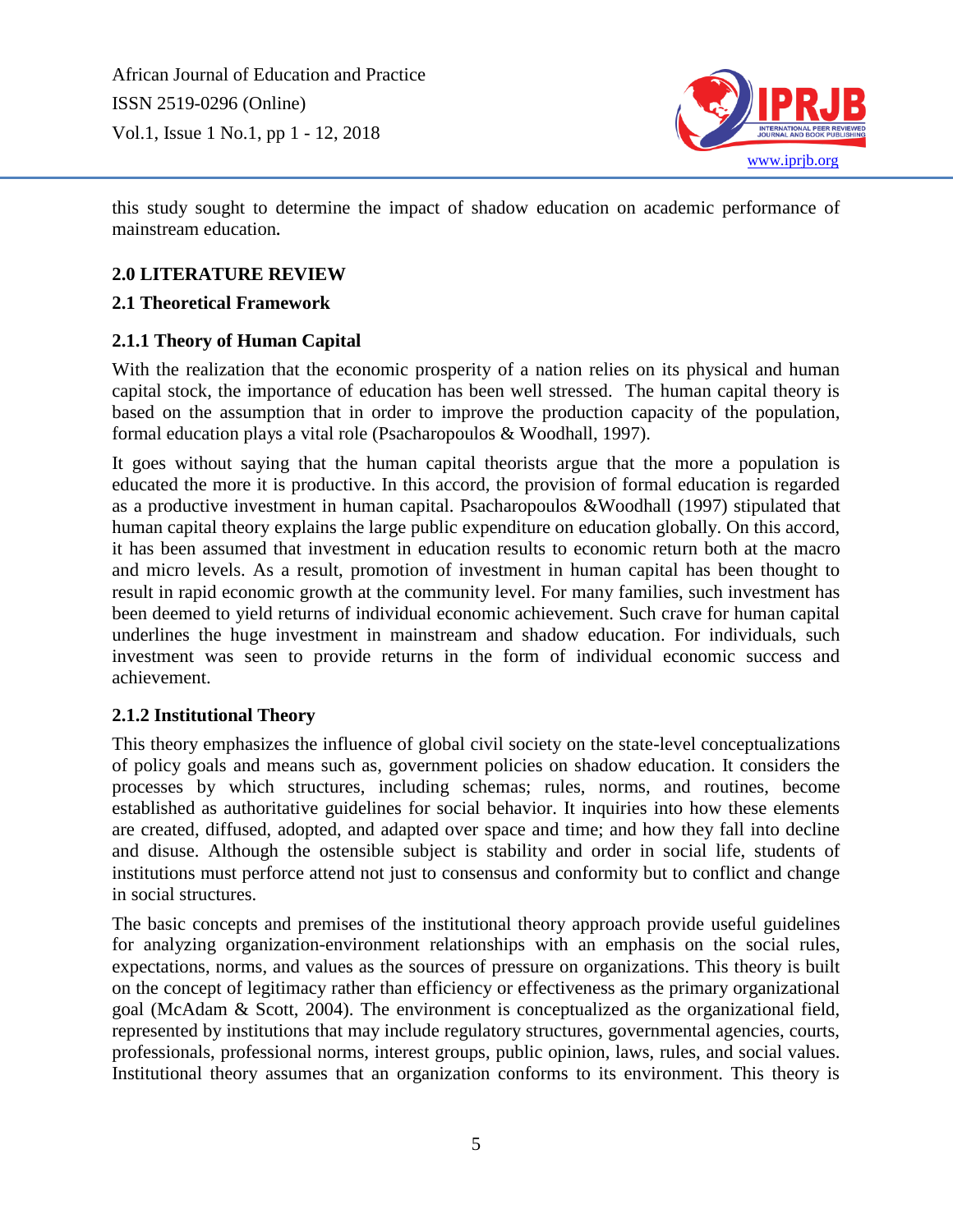

this study sought to determine the impact of shadow education on academic performance of mainstream education**.**

# **2.0 LITERATURE REVIEW**

#### **2.1 Theoretical Framework**

### **2.1.1 Theory of Human Capital**

With the realization that the economic prosperity of a nation relies on its physical and human capital stock, the importance of education has been well stressed. The human capital theory is based on the assumption that in order to improve the production capacity of the population, formal education plays a vital role (Psacharopoulos & Woodhall, 1997).

It goes without saying that the human capital theorists argue that the more a population is educated the more it is productive. In this accord, the provision of formal education is regarded as a productive investment in human capital. Psacharopoulos &Woodhall (1997) stipulated that human capital theory explains the large public expenditure on education globally. On this accord, it has been assumed that investment in education results to economic return both at the macro and micro levels. As a result, promotion of investment in human capital has been thought to result in rapid economic growth at the community level. For many families, such investment has been deemed to yield returns of individual economic achievement. Such crave for human capital underlines the huge investment in mainstream and shadow education. For individuals, such investment was seen to provide returns in the form of individual economic success and achievement.

### **2.1.2 Institutional Theory**

This theory emphasizes the influence of global civil society on the state-level conceptualizations of policy goals and means such as, government policies on shadow education. It considers the processes by which structures, including schemas; rules, norms, and routines, become established as authoritative guidelines for social behavior. It inquiries into how these elements are created, diffused, adopted, and adapted over space and time; and how they fall into decline and disuse. Although the ostensible subject is stability and order in social life, students of institutions must perforce attend not just to consensus and conformity but to conflict and change in social structures.

The basic concepts and premises of the institutional theory approach provide useful guidelines for analyzing organization-environment relationships with an emphasis on the social rules, expectations, norms, and values as the sources of pressure on organizations. This theory is built on the concept of legitimacy rather than efficiency or effectiveness as the primary organizational goal (McAdam & Scott, 2004). The environment is conceptualized as the organizational field, represented by institutions that may include regulatory structures, governmental agencies, courts, professionals, professional norms, interest groups, public opinion, laws, rules, and social values. Institutional theory assumes that an organization conforms to its environment. This theory is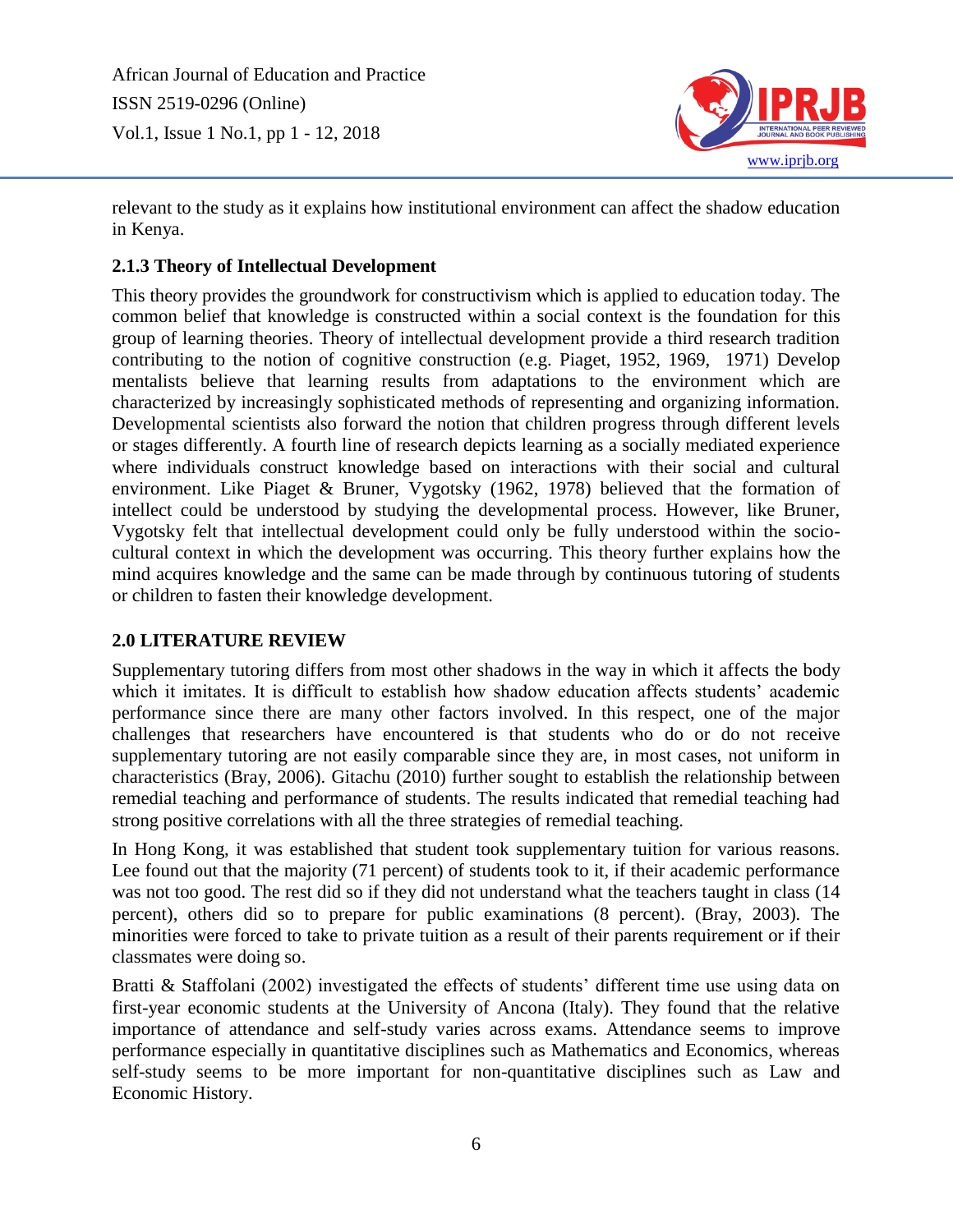

relevant to the study as it explains how institutional environment can affect the shadow education in Kenya.

# **2.1.3 Theory of Intellectual Development**

This theory provides the groundwork for constructivism which is applied to education today. The common belief that knowledge is constructed within a social context is the foundation for this group of learning theories. Theory of intellectual development provide a third research tradition contributing to the notion of cognitive construction (e.g. Piaget, 1952, 1969, 1971) Develop mentalists believe that learning results from adaptations to the environment which are characterized by increasingly sophisticated methods of representing and organizing information. Developmental scientists also forward the notion that children progress through different levels or stages differently. A fourth line of research depicts learning as a socially mediated experience where individuals construct knowledge based on interactions with their social and cultural environment. Like Piaget & Bruner, Vygotsky (1962, 1978) believed that the formation of intellect could be understood by studying the developmental process. However, like Bruner, Vygotsky felt that intellectual development could only be fully understood within the sociocultural context in which the development was occurring. This theory further explains how the mind acquires knowledge and the same can be made through by continuous tutoring of students or children to fasten their knowledge development.

### **2.0 LITERATURE REVIEW**

Supplementary tutoring differs from most other shadows in the way in which it affects the body which it imitates. It is difficult to establish how shadow education affects students' academic performance since there are many other factors involved. In this respect, one of the major challenges that researchers have encountered is that students who do or do not receive supplementary tutoring are not easily comparable since they are, in most cases, not uniform in characteristics (Bray, 2006). Gitachu (2010) further sought to establish the relationship between remedial teaching and performance of students. The results indicated that remedial teaching had strong positive correlations with all the three strategies of remedial teaching.

In Hong Kong, it was established that student took supplementary tuition for various reasons. Lee found out that the majority (71 percent) of students took to it, if their academic performance was not too good. The rest did so if they did not understand what the teachers taught in class (14 percent), others did so to prepare for public examinations (8 percent). (Bray, 2003). The minorities were forced to take to private tuition as a result of their parents requirement or if their classmates were doing so.

Bratti & Staffolani (2002) investigated the effects of students' different time use using data on first-year economic students at the University of Ancona (Italy). They found that the relative importance of attendance and self-study varies across exams. Attendance seems to improve performance especially in quantitative disciplines such as Mathematics and Economics, whereas self-study seems to be more important for non-quantitative disciplines such as Law and Economic History.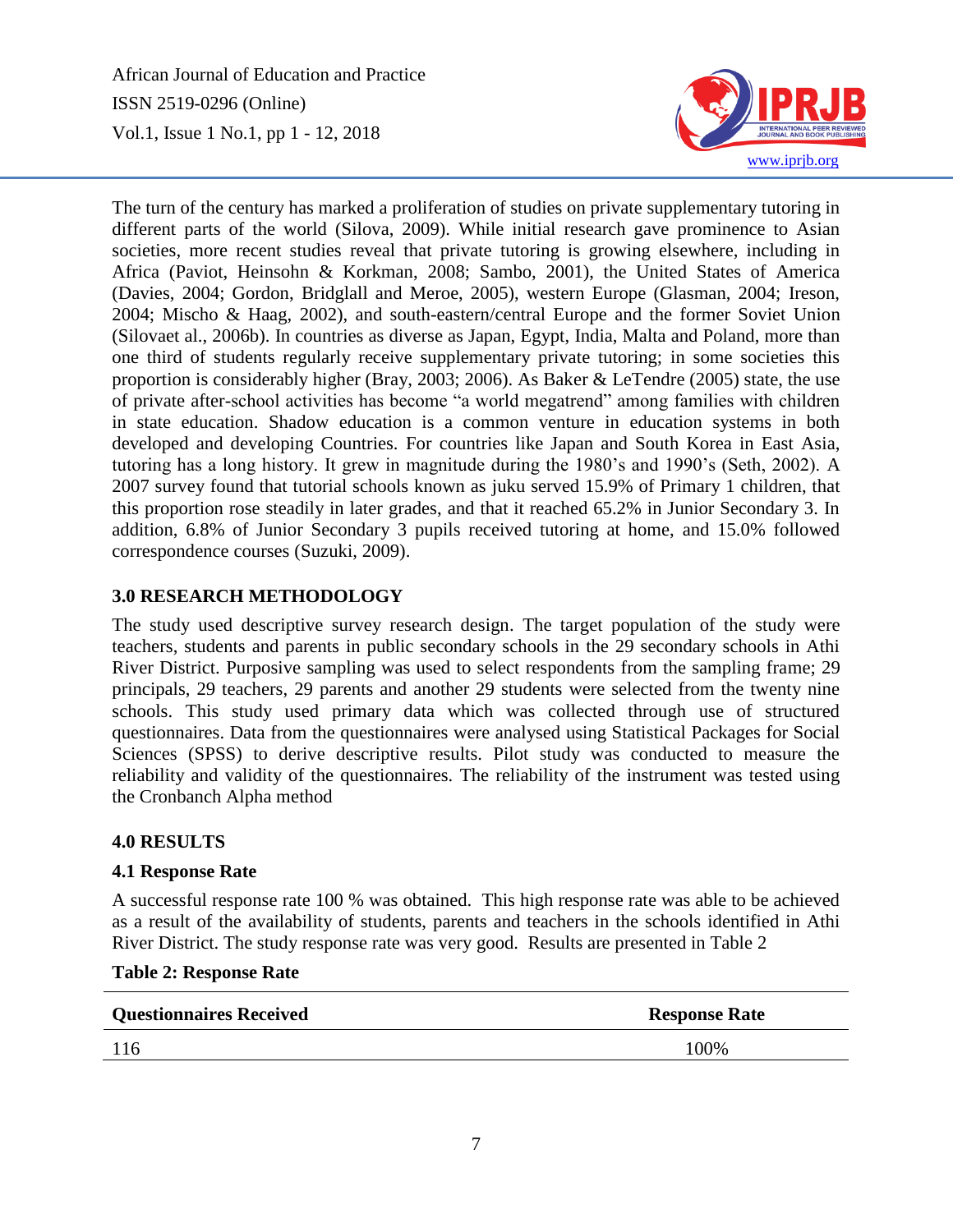

The turn of the century has marked a proliferation of studies on private supplementary tutoring in different parts of the world (Silova, 2009). While initial research gave prominence to Asian societies, more recent studies reveal that private tutoring is growing elsewhere, including in Africa (Paviot, Heinsohn & Korkman, 2008; Sambo, 2001), the United States of America (Davies, 2004; Gordon, Bridglall and Meroe, 2005), western Europe (Glasman, 2004; Ireson, 2004; Mischo & Haag, 2002), and south-eastern/central Europe and the former Soviet Union (Silovaet al., 2006b). In countries as diverse as Japan, Egypt, India, Malta and Poland, more than one third of students regularly receive supplementary private tutoring; in some societies this proportion is considerably higher (Bray, 2003; 2006). As Baker & LeTendre (2005) state, the use of private after-school activities has become "a world megatrend" among families with children in state education. Shadow education is a common venture in education systems in both developed and developing Countries. For countries like Japan and South Korea in East Asia, tutoring has a long history. It grew in magnitude during the 1980's and 1990's (Seth, 2002). A 2007 survey found that tutorial schools known as juku served 15.9% of Primary 1 children, that this proportion rose steadily in later grades, and that it reached 65.2% in Junior Secondary 3. In addition, 6.8% of Junior Secondary 3 pupils received tutoring at home, and 15.0% followed correspondence courses (Suzuki, 2009).

# **3.0 RESEARCH METHODOLOGY**

The study used descriptive survey research design. The target population of the study were teachers, students and parents in public secondary schools in the 29 secondary schools in Athi River District. Purposive sampling was used to select respondents from the sampling frame; 29 principals, 29 teachers, 29 parents and another 29 students were selected from the twenty nine schools. This study used primary data which was collected through use of structured questionnaires. Data from the questionnaires were analysed using Statistical Packages for Social Sciences (SPSS) to derive descriptive results. Pilot study was conducted to measure the reliability and validity of the questionnaires. The reliability of the instrument was tested using the Cronbanch Alpha method

### **4.0 RESULTS**

### **4.1 Response Rate**

A successful response rate 100 % was obtained. This high response rate was able to be achieved as a result of the availability of students, parents and teachers in the schools identified in Athi River District. The study response rate was very good. Results are presented in Table 2

| <b>Questionnaires Received</b> | <b>Response Rate</b> |
|--------------------------------|----------------------|
| 116                            | 100%                 |
|                                |                      |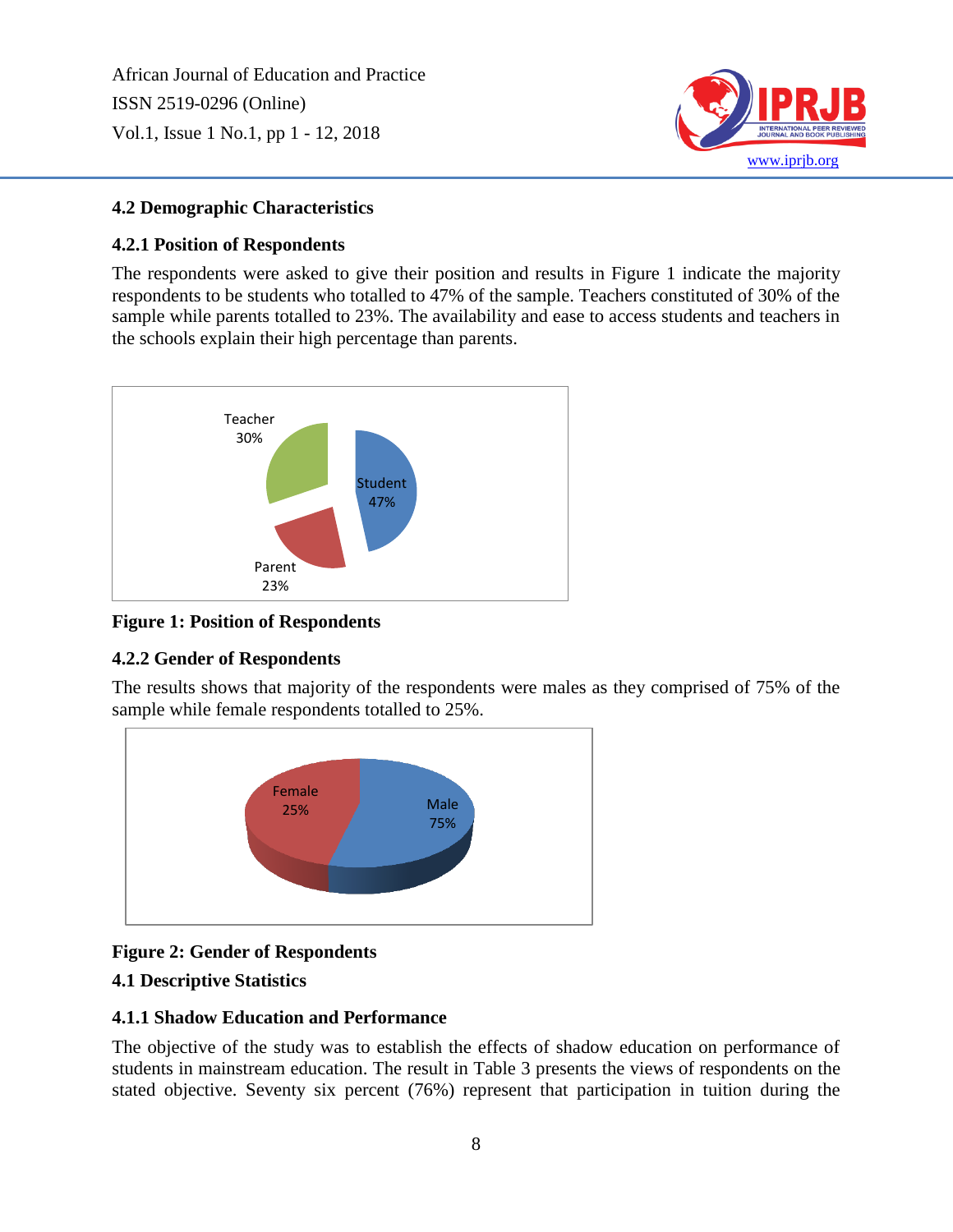

# **4.2 Demographic Characteristics**

# **4.2.1 Position of Respondents**

The respondents were asked to give their position and results in Figure 1 indicate the majority respondents to be students who totalled to 47% of the sample. Teachers constituted of 30% of the sample while parents totalled to 23%. The availability and ease to access students and teachers in the schools explain their high percentage than parents.



# **Figure 1: Position of Respondents**

# **4.2.2 Gender of Respondents**

The results shows that majority of the respondents were males as they comprised of 75% of the sample while female respondents totalled to 25%.



# **Figure 2: Gender of Respondents**

### **4.1 Descriptive Statistics**

### **4.1.1 Shadow Education and Performance**

The objective of the study was to establish the effects of shadow education on performance of students in mainstream education. The result in Table 3 presents the views of respondents on the stated objective. Seventy six percent (76%) represent that participation in tuition during the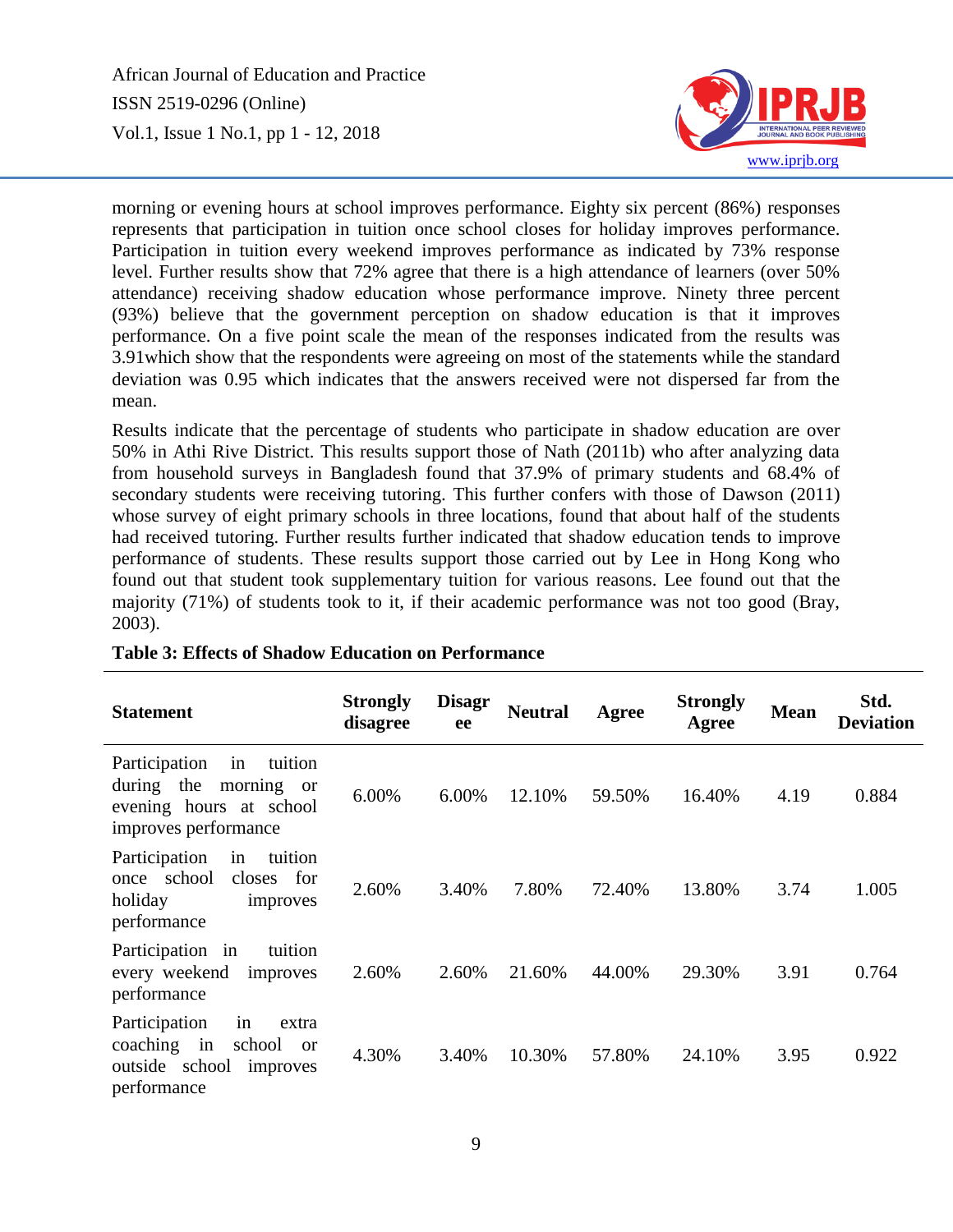

morning or evening hours at school improves performance. Eighty six percent (86%) responses represents that participation in tuition once school closes for holiday improves performance. Participation in tuition every weekend improves performance as indicated by 73% response level. Further results show that 72% agree that there is a high attendance of learners (over 50% attendance) receiving shadow education whose performance improve. Ninety three percent (93%) believe that the government perception on shadow education is that it improves performance. On a five point scale the mean of the responses indicated from the results was 3.91which show that the respondents were agreeing on most of the statements while the standard deviation was 0.95 which indicates that the answers received were not dispersed far from the mean.

Results indicate that the percentage of students who participate in shadow education are over 50% in Athi Rive District. This results support those of Nath (2011b) who after analyzing data from household surveys in Bangladesh found that 37.9% of primary students and 68.4% of secondary students were receiving tutoring. This further confers with those of Dawson (2011) whose survey of eight primary schools in three locations, found that about half of the students had received tutoring. Further results further indicated that shadow education tends to improve performance of students. These results support those carried out by Lee in Hong Kong who found out that student took supplementary tuition for various reasons. Lee found out that the majority (71%) of students took to it, if their academic performance was not too good (Bray, 2003).

| <b>Statement</b>                                                                                              | <b>Strongly</b><br>disagree | <b>Disagr</b><br>ee | <b>Neutral</b> | Agree  | <b>Strongly</b><br>Agree | <b>Mean</b> | Std.<br><b>Deviation</b> |
|---------------------------------------------------------------------------------------------------------------|-----------------------------|---------------------|----------------|--------|--------------------------|-------------|--------------------------|
| Participation<br>tuition<br>in<br>during the<br>morning or<br>evening hours at school<br>improves performance | 6.00%                       | 6.00%               | 12.10%         | 59.50% | 16.40%                   | 4.19        | 0.884                    |
| Participation<br>tuition<br>in<br>school<br>closes for<br>once<br>holiday<br>improves<br>performance          | 2.60%                       | 3.40%               | 7.80%          | 72.40% | 13.80%                   | 3.74        | 1.005                    |
| Participation in<br>tuition<br>every weekend improves<br>performance                                          | 2.60%                       | 2.60%               | 21.60%         | 44.00% | 29.30%                   | 3.91        | 0.764                    |
| Participation<br>in<br>extra<br>coaching in<br>school or<br>outside school improves<br>performance            | 4.30%                       | 3.40%               | 10.30%         | 57.80% | 24.10%                   | 3.95        | 0.922                    |

### **Table 3: Effects of Shadow Education on Performance**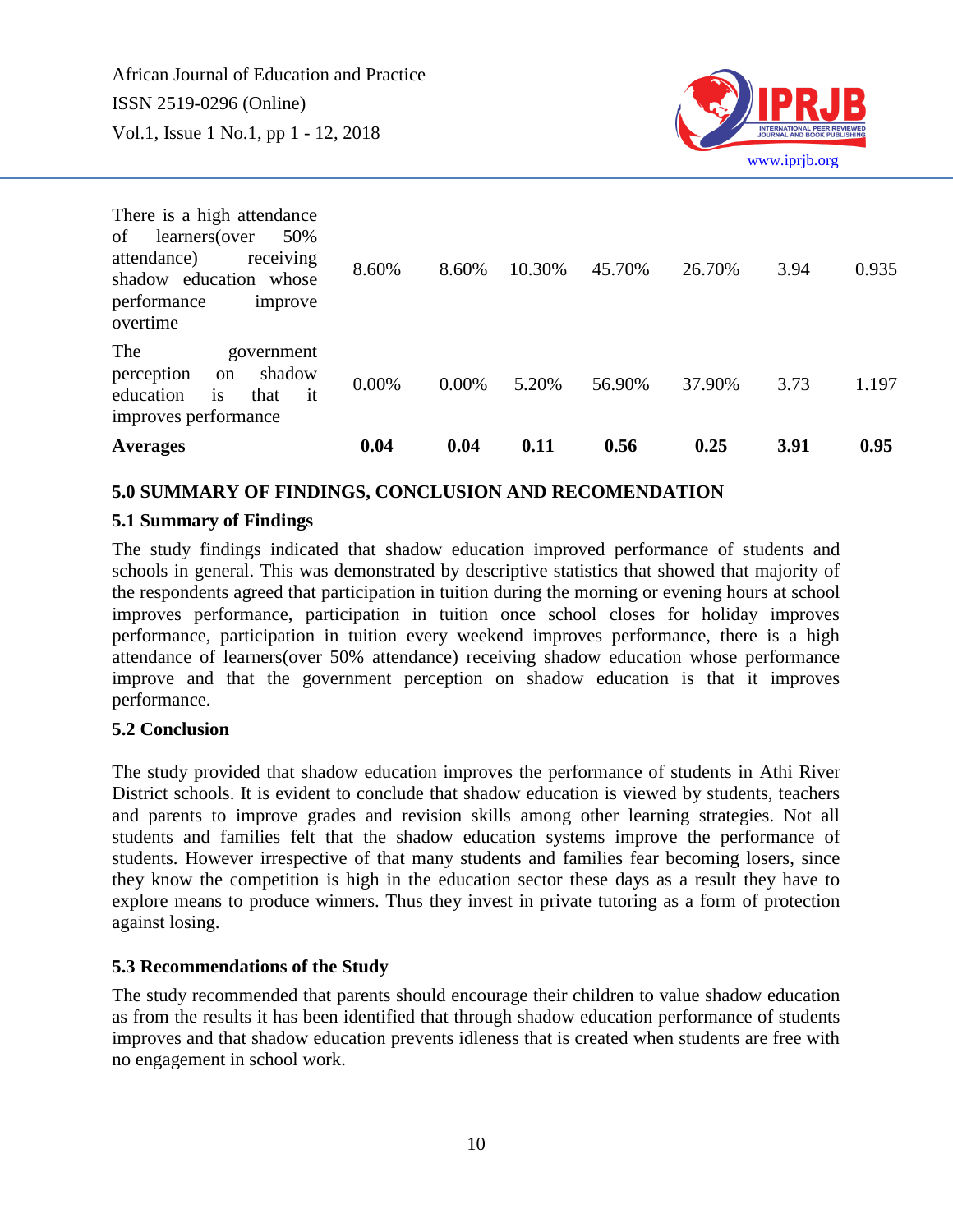

| <b>Averages</b>                                                                                                                                      | 0.04  | 0.04     | 0.11   | 0.56   | 0.25   | 3.91 | 0.95  |
|------------------------------------------------------------------------------------------------------------------------------------------------------|-------|----------|--------|--------|--------|------|-------|
| The<br>government<br>shadow<br>perception<br><sub>on</sub><br>is<br>education<br>that<br>$-$ it<br>improves performance                              | 0.00% | $0.00\%$ | 5.20%  | 56.90% | 37.90% | 3.73 | 1.197 |
| There is a high attendance<br>50%<br>learners(over<br>of<br>attendance)<br>receiving<br>shadow education whose<br>performance<br>improve<br>overtime | 8.60% | 8.60%    | 10.30% | 45.70% | 26.70% | 3.94 | 0.935 |

#### **5.0 SUMMARY OF FINDINGS, CONCLUSION AND RECOMENDATION**

#### **5.1 Summary of Findings**

The study findings indicated that shadow education improved performance of students and schools in general. This was demonstrated by descriptive statistics that showed that majority of the respondents agreed that participation in tuition during the morning or evening hours at school improves performance, participation in tuition once school closes for holiday improves performance, participation in tuition every weekend improves performance, there is a high attendance of learners(over 50% attendance) receiving shadow education whose performance improve and that the government perception on shadow education is that it improves performance.

#### **5.2 Conclusion**

The study provided that shadow education improves the performance of students in Athi River District schools. It is evident to conclude that shadow education is viewed by students, teachers and parents to improve grades and revision skills among other learning strategies. Not all students and families felt that the shadow education systems improve the performance of students. However irrespective of that many students and families fear becoming losers, since they know the competition is high in the education sector these days as a result they have to explore means to produce winners. Thus they invest in private tutoring as a form of protection against losing.

#### **5.3 Recommendations of the Study**

The study recommended that parents should encourage their children to value shadow education as from the results it has been identified that through shadow education performance of students improves and that shadow education prevents idleness that is created when students are free with no engagement in school work.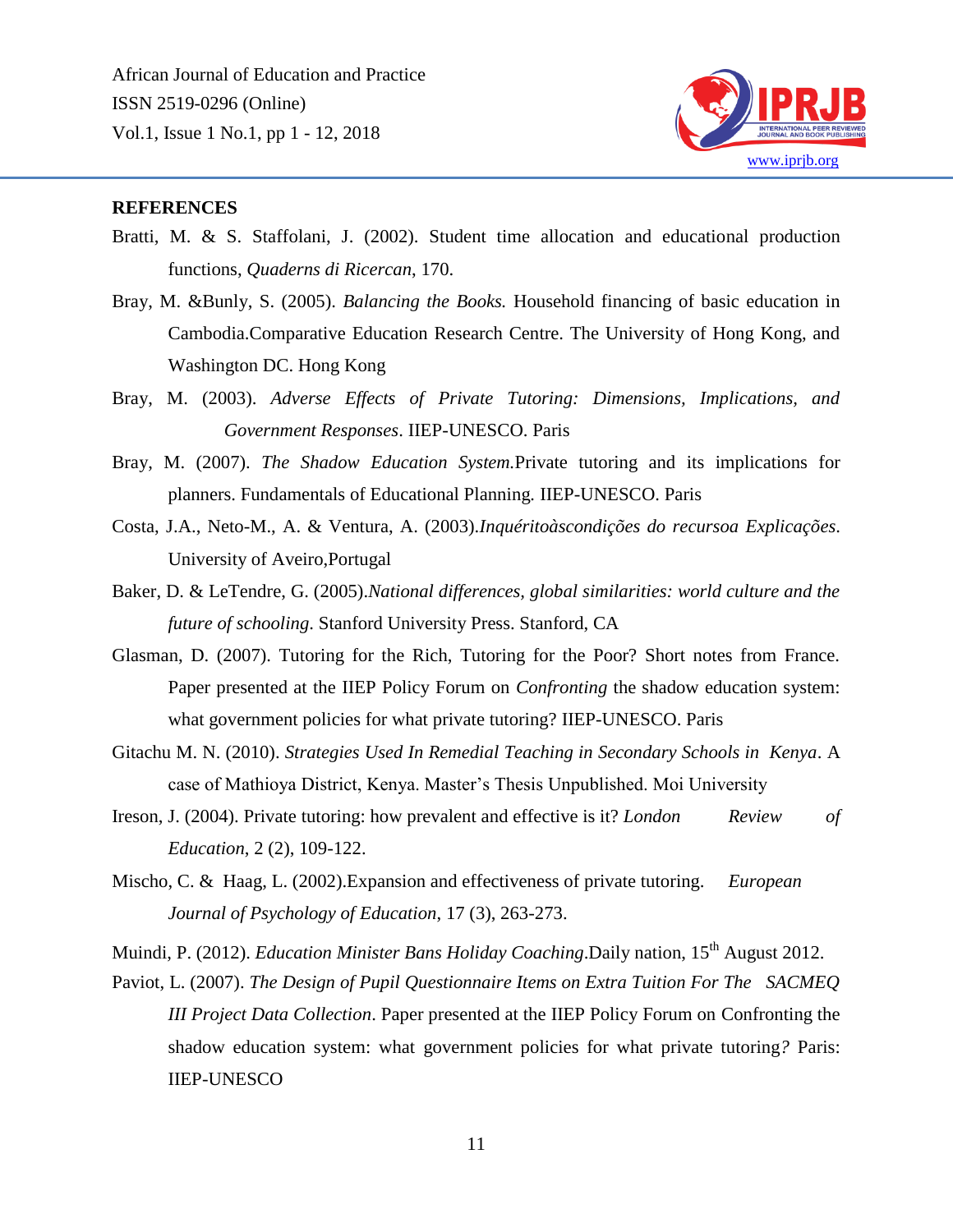

#### **REFERENCES**

- Bratti, M. & S. Staffolani, J. (2002). Student time allocation and educational production functions, *Quaderns di Ricercan*, 170.
- Bray, M. &Bunly, S. (2005). *Balancing the Books.* Household financing of basic education in Cambodia.Comparative Education Research Centre. The University of Hong Kong, and Washington DC. Hong Kong
- Bray, M. (2003). *Adverse Effects of Private Tutoring: Dimensions, Implications, and Government Responses*. IIEP-UNESCO. Paris
- Bray, M. (2007). *The Shadow Education System.*Private tutoring and its implications for planners. Fundamentals of Educational Planning*.* IIEP-UNESCO. Paris
- Costa, J.A., Neto-M., A. & Ventura, A. (2003).*Inquéritoàscondições do recursoa Explicações*. University of Aveiro,Portugal
- Baker, D. & LeTendre, G. (2005).*National differences, global similarities: world culture and the future of schooling*. Stanford University Press. Stanford, CA
- Glasman, D. (2007). Tutoring for the Rich, Tutoring for the Poor? Short notes from France. Paper presented at the IIEP Policy Forum on *Confronting* the shadow education system: what government policies for what private tutoring? IIEP-UNESCO. Paris
- Gitachu M. N. (2010). *Strategies Used In Remedial Teaching in Secondary Schools in Kenya*. A case of Mathioya District, Kenya. Master's Thesis Unpublished. Moi University
- Ireson, J. (2004). Private tutoring: how prevalent and effective is it? *London Review of Education*, 2 (2), 109-122.
- Mischo, C. & Haag, L. (2002).Expansion and effectiveness of private tutoring. *European Journal of Psychology of Education*, 17 (3), 263-273.

Muindi, P. (2012). *Education Minister Bans Holiday Coaching*. Daily nation, 15<sup>th</sup> August 2012.

Paviot, L. (2007). *The Design of Pupil Questionnaire Items on Extra Tuition For The SACMEQ III Project Data Collection*. Paper presented at the IIEP Policy Forum on Confronting the shadow education system: what government policies for what private tutoring*?* Paris: IIEP-UNESCO